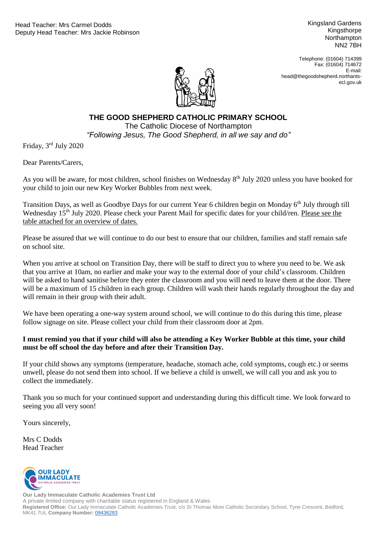Kingsland Gardens Kingsthorpe **Northampton** NN2 7BH

Telephone: (01604) 714399 Fax: (01604) 714672 E-mail: head@thegoodshepherd.northantsecl.gov.uk



## **THE GOOD SHEPHERD CATHOLIC PRIMARY SCHOOL**

"Following Jesus, The Good Shepherd, in all we say and do" The Catholic Diocese of Northampton

Friday, 3rd July 2020

Dear Parents/Carers,

As you will be aware, for most children, school finishes on Wednesday 8<sup>th</sup> July 2020 unless you have booked for your child to join our new Key Worker Bubbles from next week.

Transition Days, as well as Goodbye Days for our current Year 6 children begin on Monday 6<sup>th</sup> July through till Wednesday 15<sup>th</sup> July 2020. Please check your Parent Mail for specific dates for your child/ren. Please see the table attached for an overview of dates.

Please be assured that we will continue to do our best to ensure that our children, families and staff remain safe on school site.

When you arrive at school on Transition Day, there will be staff to direct you to where you need to be. We ask that you arrive at 10am, no earlier and make your way to the external door of your child's classroom. Children will be asked to hand sanitise before they enter the classroom and you will need to leave them at the door. There will be a maximum of 15 children in each group. Children will wash their hands regularly throughout the day and will remain in their group with their adult.

We have been operating a one-way system around school, we will continue to do this during this time, please follow signage on site. Please collect your child from their classroom door at 2pm.

## **I must remind you that if your child will also be attending a Key Worker Bubble at this time, your child must be off school the day before and after their Transition Day.**

If your child shows any symptoms (temperature, headache, stomach ache, cold symptoms, cough etc.) or seems unwell, please do not send them into school. If we believe a child is unwell, we will call you and ask you to collect the immediately.

Thank you so much for your continued support and understanding during this difficult time. We look forward to seeing you all very soon!

Yours sincerely,

Mrs C Dodds Head Teacher



**Our Lady Immaculate Catholic Academies Trust Ltd** A private limited company with charitable status registered in England & Wales **Registered Office:** Our Lady Immaculate Catholic Academies Trust, c/o St Thomas More Catholic Secondary School, Tyne Crescent, Bedford, MK41 7UL **Company Number:** [09436283](https://beta.companieshouse.gov.uk/company/09436283)